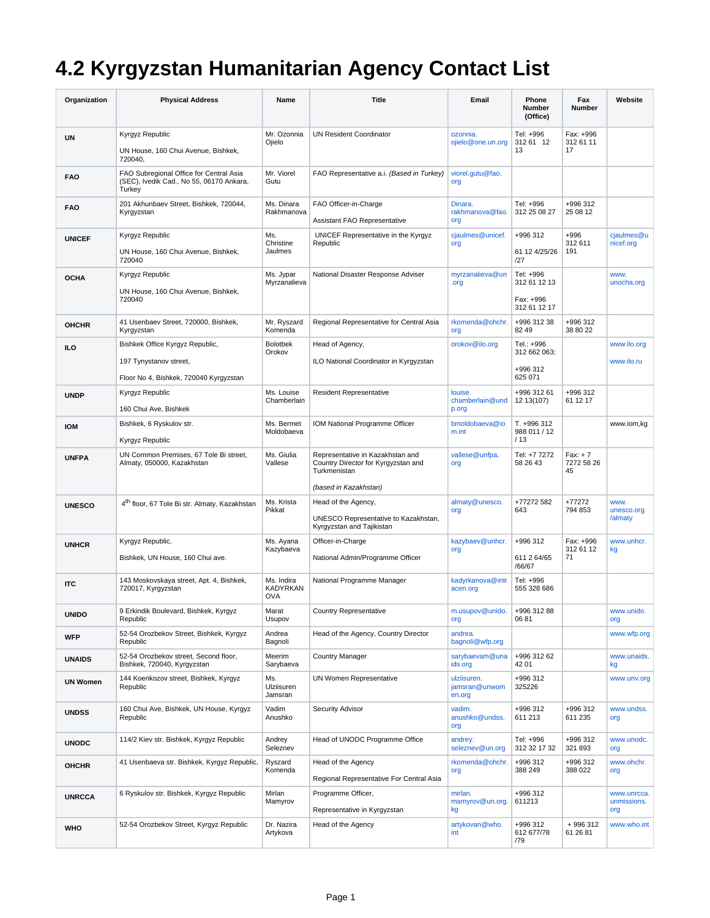## **4.2 Kyrgyzstan Humanitarian Agency Contact List**

| Organization    | <b>Physical Address</b>                                                                             | Name                                 | <b>Title</b>                                                                                                     | Email                                  | Phone<br><b>Number</b><br>(Office)                     | Fax<br><b>Number</b>           | Website                           |
|-----------------|-----------------------------------------------------------------------------------------------------|--------------------------------------|------------------------------------------------------------------------------------------------------------------|----------------------------------------|--------------------------------------------------------|--------------------------------|-----------------------------------|
| <b>UN</b>       | Kyrgyz Republic<br>UN House, 160 Chui Avenue, Bishkek,<br>720040,                                   | Mr. Ozonnia<br>Ojielo                | <b>UN Resident Coordinator</b>                                                                                   | ozonnia.<br>ojielo@one.un.org          | Tel: +996<br>312 61 12<br>13                           | Fax: +996<br>312 61 11<br>17   |                                   |
| <b>FAO</b>      | FAO Subregional Office for Central Asia<br>(SEC), Ivedik Cad., No 55, 06170 Ankara,<br>Turkey       | Mr. Viorel<br>Gutu                   | FAO Representative a.i. (Based in Turkey)                                                                        | viorel.gutu@fao.<br>org                |                                                        |                                |                                   |
| <b>FAO</b>      | 201 Akhunbaev Street, Bishkek, 720044,<br>Kyrgyzstan                                                | Ms. Dinara<br>Rakhmanova             | FAO Officer-in-Charge<br>Assistant FAO Representative                                                            | Dinara.<br>rakhmanova@fao.<br>org      | Tel: +996<br>312 25 08 27                              | +996 312<br>25 08 12           |                                   |
| <b>UNICEF</b>   | Kyrgyz Republic<br>UN House, 160 Chui Avenue, Bishkek,<br>720040                                    | Ms.<br>Christine<br>Jaulmes          | UNICEF Representative in the Kyrgyz<br>Republic                                                                  | cjaulmes@unicef.<br>org                | $+996.312$<br>61 12 4/25/26<br>127                     | +996<br>312 611<br>191         | cjaulmes@u<br>nicef.org           |
| <b>OCHA</b>     | Kyrgyz Republic<br>UN House, 160 Chui Avenue, Bishkek,<br>720040                                    | Ms. Jypar<br>Myrzanalieva            | National Disaster Response Adviser                                                                               | myrzanalieva@un<br>.org                | Tel: +996<br>312 61 12 13<br>Fax: +996<br>312 61 12 17 |                                | www.<br>unocha.org                |
| <b>OHCHR</b>    | 41 Usenbaev Street, 720000, Bishkek,<br>Kyrgyzstan                                                  | Mr. Ryszard<br>Komenda               | Regional Representative for Central Asia                                                                         | rkomenda@ohchr.<br>org                 | +996 312 38<br>82 49                                   | +996 312<br>38 80 22           |                                   |
| <b>ILO</b>      | Bishkek Office Kyrgyz Republic,<br>197 Tynystanov street,<br>Floor No 4, Bishkek, 720040 Kyrgyzstan | <b>Bolotbek</b><br>Orokov            | Head of Agency,<br>ILO National Coordinator in Kyrgyzstan                                                        | orokov@ilo.org                         | Tel.: +996<br>312 662 063;<br>+996 312<br>625 071      |                                | www.ilo.org<br>www.ilo.ru         |
| <b>UNDP</b>     | Kyrgyz Republic<br>160 Chui Ave, Bishkek                                                            | Ms. Louise<br>Chamberlain            | <b>Resident Representative</b>                                                                                   | louise.<br>chamberlain@und<br>p.org    | +996 312 61<br>12 13 (107)                             | +996 312<br>61 12 17           |                                   |
| <b>IOM</b>      | Bishkek, 6 Ryskulov str.<br>Kyrgyz Republic                                                         | Ms. Bermet<br>Moldobaeva             | IOM National Programme Officer                                                                                   | bmoldobaeva@io<br>m.int                | T. +996 312<br>988 011 / 12<br>/13                     |                                | www.iom,kg                        |
| <b>UNFPA</b>    | UN Common Premises, 67 Tole Bi street,<br>Almaty, 050000, Kazakhstan                                | Ms. Giulia<br>Vallese                | Representative in Kazakhstan and<br>Country Director for Kyrgyzstan and<br>Turkmenistan<br>(based in Kazakhstan) | vallese@unfpa.<br>org                  | Tel: +7 7272<br>58 26 43                               | $Fax: + 7$<br>7272 58 26<br>45 |                                   |
| <b>UNESCO</b>   | 4 <sup>th</sup> floor, 67 Tole Bi str. Almaty, Kazakhstan                                           | Ms. Krista<br>Pikkat                 | Head of the Agency,<br>UNESCO Representative to Kazakhstan,<br>Kyrgyzstan and Tajikistan                         | almaty@unesco.<br>org                  | +77272 582<br>643                                      | +77272<br>794 853              | www.<br>unesco.org<br>/almaty     |
| <b>UNHCR</b>    | Kyrgyz Republic,<br>Bishkek, UN House, 160 Chui ave.                                                | Ms. Ayana<br>Kazybaeva               | Officer-in-Charge<br>National Admin/Programme Officer                                                            | kazybaev@unhcr.<br>org                 | +996 312<br>611 2 64/65<br>/66/67                      | Fax: +996<br>312 61 12<br>71   | www.unhcr.<br>kg                  |
| <b>ITC</b>      | 143 Moskovskaya street, Apt. 4, Bishkek,<br>720017, Kyrgyzstan                                      | Ms. Indira<br>KADYRKAN<br><b>OVA</b> | National Programme Manager                                                                                       | kadyrkanova@intr<br>acen.org           | Tel: +996<br>555 328 686                               |                                |                                   |
| <b>UNIDO</b>    | 9 Erkindik Boulevard, Bishkek, Kyrgyz<br>Republic                                                   | Marat<br>Usupov                      | <b>Country Representative</b>                                                                                    | m.usupov@unido.<br>org                 | +996 312 88<br>0681                                    |                                | www.unido.<br>org                 |
| <b>WFP</b>      | 52-54 Orozbekov Street, Bishkek, Kyrgyz<br>Republic                                                 | Andrea<br>Bagnoli                    | Head of the Agency, Country Director                                                                             | andrea.<br>bagnoli@wfp.org             |                                                        |                                | www.wfp.org                       |
| <b>UNAIDS</b>   | 52-54 Orozbekov street, Second floor,<br>Bishkek, 720040, Kyrgyzstan                                | Meerim<br>Sarybaeva                  | <b>Country Manager</b>                                                                                           | sarybaevam@una<br>ids.org              | +996 312 62<br>42 01                                   |                                | www.unaids.<br>kg                 |
| <b>UN Women</b> | 144 Koenkozov street, Bishkek, Kyrgyz<br>Republic                                                   | Ms.<br>Ulziisuren<br>Jamsran         | <b>UN Women Representative</b>                                                                                   | ulziisuren.<br>jamsran@unwom<br>en.org | +996 312<br>325226                                     |                                | www.unv.org                       |
| <b>UNDSS</b>    | 160 Chui Ave, Bishkek, UN House, Kyrgyz<br>Republic                                                 | Vadim<br>Anushko                     | Security Advisor                                                                                                 | vadim.<br>anushko@undss.<br>org        | +996 312<br>611 213                                    | +996 312<br>611 235            | www.undss.<br>org                 |
| <b>UNODC</b>    | 114/2 Kiev str. Bishkek, Kyrgyz Republic                                                            | Andrey<br>Seleznev                   | Head of UNODC Programme Office                                                                                   | andrey.<br>seleznev@un.org             | Tel: +996<br>312 32 17 32                              | +996 312<br>321 893            | www.unodc.<br>org                 |
| <b>OHCHR</b>    | 41 Usenbaeva str. Bishkek, Kyrgyz Republic,                                                         | Ryszard<br>Komenda                   | Head of the Agency<br>Regional Representative For Central Asia                                                   | rkomenda@ohchr.<br>org                 | +996 312<br>388 249                                    | +996 312<br>388 022            | www.ohchr.<br>org                 |
| <b>UNRCCA</b>   | 6 Ryskulov str. Bishkek, Kyrgyz Republic                                                            | Mirlan<br>Mamyrov                    | Programme Officer,<br>Representative in Kyrgyzstan                                                               | mirlan.<br>mamyrov@un.org.<br>kg       | +996 312<br>611213                                     |                                | www.unrcca.<br>unmissions.<br>org |
| <b>WHO</b>      | 52-54 Orozbekov Street, Kyrgyz Republic                                                             | Dr. Nazira<br>Artykova               | Head of the Agency                                                                                               | artykovan@who.<br>int                  | +996 312<br>612 677/78<br>/79                          | +996312<br>61 26 81            | www.who.int                       |